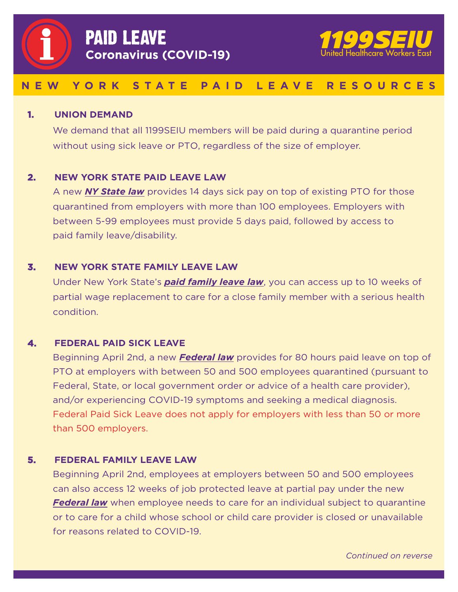<span id="page-0-0"></span>



# **NEW YORK STATE PAID LEAVE RESOURCES**

#### **1. UNION DEMAND**

We demand that all 1199SEIU members will be paid during a quarantine period without using sick leave or PTO, regardless of the size of employer.

## **2. NEW YORK STATE PAID LEAVE LAW**

A new *[NY State law](https://paidfamilyleave.ny.gov/if-you-are-quarantined-yourself)* provides 14 days sick pay on top of existing PTO for those quarantined from employers with more than 100 employees. Employers with between 5-99 employees must provide 5 days paid, followed by access to paid family leave/disability.

#### **3. NEW YORK STATE FAMILY LEAVE LAW**

Under New York State's *[paid family leave law](https://paidfamilyleave.ny.gov/paid-family-leave-family-care)*, you can access up to 10 weeks of partial wage replacement to care for a close family member with a serious health condition.

### **4. FEDERAL PAID SICK LEAVE**

Beginning April 2nd, a new *[Federal law](https://www.dol.gov/agencies/whd/pandemic/ffcra-employee-paid-leave)* provides for 80 hours paid leave on top of PTO at employers with between 50 and 500 employees quarantined (pursuant to Federal, State, or local government order or advice of a health care provider), and/or experiencing COVID-19 symptoms and seeking a medical diagnosis. Federal Paid Sick Leave does not apply for employers with less than 50 or more than 500 employers.

#### **5. FEDERAL FAMILY LEAVE LAW**

Beginning April 2nd, employees at employers between 50 and 500 employees can also access 12 weeks of job protected leave at partial pay under the new *[Federal law](https://www.dol.gov/agencies/whd/pandemic/ffcra-employee-paid-leave)* when employee needs to care for an individual subject to quarantine or to care for a child whose school or child care provider is closed or unavailable for reasons related to COVID-19.